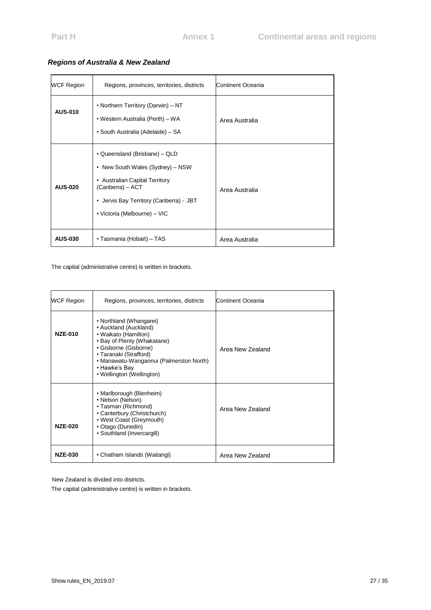| <b>WCF Region</b> | Regions, provinces, territories, districts                                                                                                                                                              | Continent Oceania |
|-------------------|---------------------------------------------------------------------------------------------------------------------------------------------------------------------------------------------------------|-------------------|
| <b>AUS-010</b>    | • Northern Territory (Darwin) – NT<br>• Western Australia (Perth) – WA<br>• South Australia (Adelaide) – SA                                                                                             | Area Australia    |
| <b>AUS-020</b>    | • Queensland (Brisbane) – QLD<br>• New South Wales (Sydney) - NSW<br><b>Australian Capital Territory</b><br>(Canberra) - ACT<br>• Jervis Bay Territory (Canberra) - JBT<br>• Victoria (Melbourne) – VIC | Area Australia    |
| <b>AUS-030</b>    | • Tasmania (Hobart) – TAS                                                                                                                                                                               | Area Australia    |

### *Regions of Australia & New Zealand*

The capital (administrative centre) is written in brackets.

| <b>WCF Region</b> | Regions, provinces, territories, districts                                                                                                                                                                                                          | Continent Oceania |
|-------------------|-----------------------------------------------------------------------------------------------------------------------------------------------------------------------------------------------------------------------------------------------------|-------------------|
| <b>NZE-010</b>    | • Northland (Whangarei)<br>• Auckland (Auckland)<br>• Waikato (Hamilton)<br>• Bay of Plenty (Whakatane)<br>• Gisborne (Gisborne)<br>• Taranaki (Strafford)<br>• Manawatu-Wangannui (Palmerston North)<br>• Hawke's Bay<br>• Wellington (Wellington) | Area New Zealand  |
| <b>NZE-020</b>    | • Marlborough (Blenheim)<br>• Nelson (Nelson)<br>• Tasman (Richmond)<br>• Canterbury (Christchurch)<br>• West Coast (Greymouth)<br>• Otago (Dunedin)<br>• Southland (Invercargill)                                                                  | Area New Zealand  |
| <b>NZE-030</b>    | • Chatham Islands (Waitangi)                                                                                                                                                                                                                        | Area New Zealand  |

New Zealand is divided into districts.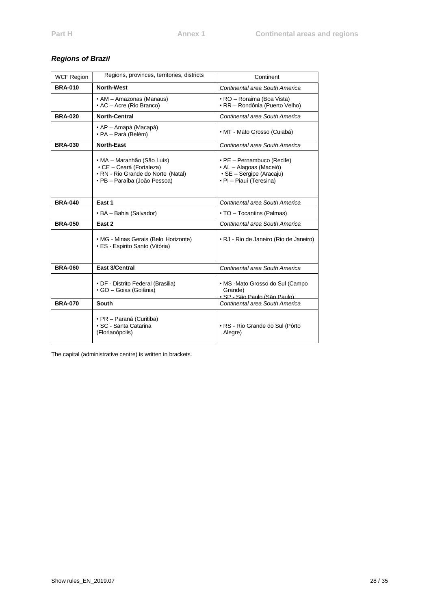### *Regions of Brazil*

| <b>WCF Region</b> | Regions, provinces, territories, districts                                                                                   | Continent                                                                                                    |
|-------------------|------------------------------------------------------------------------------------------------------------------------------|--------------------------------------------------------------------------------------------------------------|
| <b>BRA-010</b>    | <b>North-West</b>                                                                                                            | Continental area South America                                                                               |
|                   | • AM - Amazonas (Manaus)<br>• AC - Acre (Rio Branco)                                                                         | • RO – Roraima (Boa Vista)<br>• RR - Rondônia (Puerto Velho)                                                 |
| <b>BRA-020</b>    | <b>North-Central</b>                                                                                                         | Continental area South America                                                                               |
|                   | • AP – Amapá (Macapá)<br>• PA – Pará (Belém)                                                                                 | · MT - Mato Grosso (Cuiabá)                                                                                  |
| <b>BRA-030</b>    | <b>North-East</b>                                                                                                            | Continental area South America                                                                               |
|                   | • MA – Maranhão (São Luís)<br>• CE - Ceará (Fortaleza)<br>· RN - Rio Grande do Norte (Natal)<br>• PB - Paraíba (João Pessoa) | • PE - Pernambuco (Recife)<br>• AL - Alagoas (Maceió)<br>· SE - Sergipe (Aracaju)<br>· PI - Piauí (Teresina) |
| <b>BRA-040</b>    | East 1                                                                                                                       | Continental area South America                                                                               |
|                   | • BA – Bahia (Salvador)                                                                                                      | • TO - Tocantins (Palmas)                                                                                    |
| <b>BRA-050</b>    | East 2                                                                                                                       | Continental area South America                                                                               |
|                   | • MG - Minas Gerais (Belo Horizonte)<br>• ES - Espirito Santo (Vitória)                                                      | • RJ - Rio de Janeiro (Rio de Janeiro)                                                                       |
| <b>BRA-060</b>    | East 3/Central                                                                                                               | Continental area South America                                                                               |
|                   | • DF - Distrito Federal (Brasilia)<br>· GO - Goias (Goiânia)                                                                 | · MS -Mato Grosso do Sul (Campo<br>Grande)<br>· SP - São Paulo (São Paulo)                                   |
| <b>BRA-070</b>    | <b>South</b>                                                                                                                 | Continental area South America                                                                               |
|                   | · PR - Paraná (Curitiba)<br>• SC - Santa Catarina<br>(Florianópolis)                                                         | • RS - Rio Grande do Sul (Pôrto<br>Alegre)                                                                   |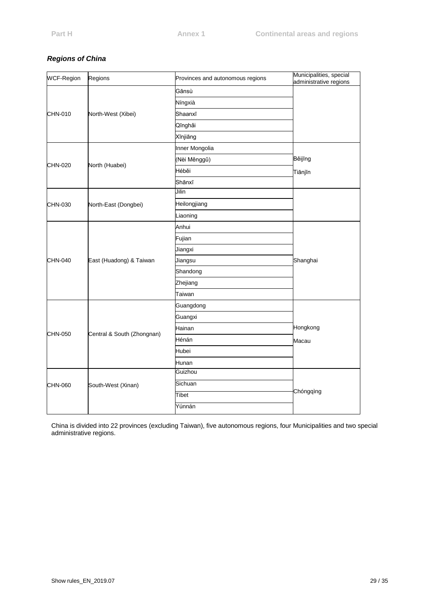# *Regions of China*

| <b>WCF-Region</b> | Regions                    | Provinces and autonomous regions | Municipalities, special<br>administrative regions |
|-------------------|----------------------------|----------------------------------|---------------------------------------------------|
|                   |                            | Gānsù                            |                                                   |
|                   |                            | Níngxià                          |                                                   |
| CHN-010           | North-West (Xibei)         | Shaanxī                          |                                                   |
|                   |                            | Qīnghǎi                          |                                                   |
|                   |                            | Xīnjiāng                         |                                                   |
|                   |                            | Inner Mongolia                   |                                                   |
|                   |                            | (Nèi Měnggǔ)                     | Běijīng                                           |
| CHN-020           | North (Huabei)             | Héběi                            | Tiānjīn                                           |
|                   |                            | Shānxī                           |                                                   |
|                   |                            | Jilin                            |                                                   |
| CHN-030           | North-East (Dongbei)       | Heilongjiang                     |                                                   |
|                   |                            | Liaoning                         |                                                   |
|                   | East (Huadong) & Taiwan    | Anhui                            |                                                   |
|                   |                            | Fujian                           |                                                   |
| CHN-040           |                            | Jiangxi                          |                                                   |
|                   |                            | Jiangsu                          | Shanghai                                          |
|                   |                            | Shandong                         |                                                   |
|                   |                            | Zhejiang                         |                                                   |
|                   |                            | Taiwan                           |                                                   |
|                   |                            | Guangdong                        |                                                   |
|                   | Central & South (Zhongnan) | Guangxi                          |                                                   |
| CHN-050           |                            | Hainan                           | Hongkong                                          |
|                   |                            | Hénán                            | Macau                                             |
|                   |                            | Hubei                            |                                                   |
|                   |                            | Hunan                            |                                                   |
|                   |                            | Guizhou                          |                                                   |
| CHN-060           | South-West (Xinan)         | Sichuan                          |                                                   |
|                   |                            | Tibet                            | Chóngqìng                                         |
|                   |                            | Yúnnán                           |                                                   |

China is divided into 22 provinces (excluding Taiwan), five autonomous regions, four Municipalities and two special administrative regions.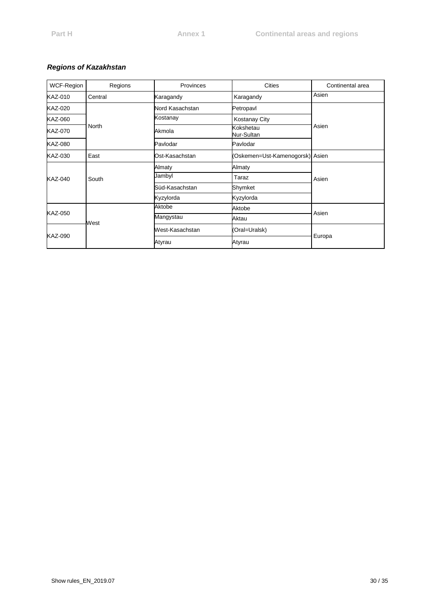# *Regions of Kazakhstan*

| WCF-Region | Regions | Provinces       | <b>Cities</b>                   | Continental area |
|------------|---------|-----------------|---------------------------------|------------------|
| KAZ-010    | Central | Karagandy       | Karagandy                       | Asien            |
| KAZ-020    |         | Nord Kasachstan | Petropavl                       | Asien            |
| KAZ-060    |         | Kostanay        | <b>Kostanay City</b>            |                  |
| KAZ-070    | North   | Akmola          | Kokshetau<br>Nur-Sultan         |                  |
| KAZ-080    |         | Pavlodar        | Pavlodar                        |                  |
| KAZ-030    | East    | Ost-Kasachstan  | (Oskemen=Ust-Kamenogorsk) Asien |                  |
|            | South   | Almaty          | Almaty                          | Asien            |
| KAZ-040    |         | Jambyl          | Taraz                           |                  |
|            |         | Süd-Kasachstan  | Shymket                         |                  |
|            |         | Kyzylorda       | Kyzylorda                       |                  |
| KAZ-050    | West    | Aktobe          | Aktobe                          |                  |
|            |         | Mangystau       | Aktau                           | Asien            |
| KAZ-090    |         | West-Kasachstan | (Oral=Uralsk)                   | Europa           |
|            |         | Atyrau          | Atyrau                          |                  |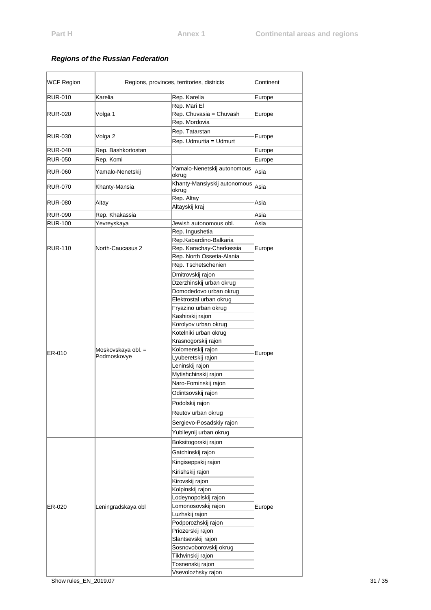| <b>WCF Region</b> | Regions, provinces, territories, districts |                                           | Continent |  |
|-------------------|--------------------------------------------|-------------------------------------------|-----------|--|
| <b>RUR-010</b>    | Karelia                                    | Rep. Karelia                              | Europe    |  |
|                   |                                            | Rep. Mari El                              |           |  |
| <b>RUR-020</b>    | Volga 1                                    | Rep. Chuvasia = Chuvash                   | Europe    |  |
|                   |                                            | Rep. Mordovia                             |           |  |
| RUR-030           | Volga 2                                    | Rep. Tatarstan                            | Europe    |  |
|                   |                                            | Rep. Udmurtia = Udmurt                    |           |  |
| <b>RUR-040</b>    | Rep. Bashkortostan                         |                                           | Europe    |  |
| <b>RUR-050</b>    | Rep. Komi                                  |                                           | Europe    |  |
| <b>RUR-060</b>    | Yamalo-Nenetskij                           | Yamalo-Nenetskij autonomous<br>okrug      | Asia      |  |
| RUR-070           | Khanty-Mansia                              | Khanty-Mansiyskij autonomous<br>okrug     | Asia      |  |
| RUR-080           | Altay                                      | Rep. Altay                                | Asia      |  |
|                   |                                            | Altayskij kraj                            |           |  |
| <b>RUR-090</b>    | Rep. Khakassia                             |                                           | Asia      |  |
| <b>RUR-100</b>    | Yevreyskaya                                | Jewish autonomous obl.                    | Asia      |  |
|                   |                                            | Rep. Ingushetia<br>Rep.Kabardino-Balkaria |           |  |
| RUR-110           | North-Caucasus 2                           | Rep. Karachay-Cherkessia                  | Europe    |  |
|                   |                                            | Rep. North Ossetia-Alania                 |           |  |
|                   |                                            | Rep. Tschetschenien                       |           |  |
|                   |                                            | Dmitrovskij rajon                         |           |  |
|                   |                                            | Dzerzhinskij urban okrug                  |           |  |
|                   |                                            | Domodedovo urban okrug                    |           |  |
|                   | Moskovskaya obl. =<br>Podmoskovye          | Elektrostal urban okrug                   |           |  |
|                   |                                            | Fryazino urban okrug                      |           |  |
|                   |                                            | Kashirskij rajon                          |           |  |
|                   |                                            | Korolyov urban okrug                      |           |  |
|                   |                                            | Kotelniki urban okrug                     |           |  |
|                   |                                            | Krasnogorskij rajon                       |           |  |
| ER-010            |                                            | Kolomenskij rajon                         | Europe    |  |
|                   |                                            | Lyuberetskij rajon                        |           |  |
|                   |                                            | Leninskij rajon<br>Mytishchinskij rajon   |           |  |
|                   |                                            |                                           |           |  |
|                   |                                            | Naro-Fominskij rajon                      |           |  |
|                   |                                            | Odintsovskij rajon                        |           |  |
|                   |                                            | Podolskij rajon                           |           |  |
|                   |                                            | Reutov urban okrug                        |           |  |
|                   |                                            | Sergievo-Posadskiy rajon                  |           |  |
|                   |                                            | Yubileynij urban okrug                    |           |  |
|                   |                                            | Boksitogorskij rajon                      |           |  |
|                   |                                            | Gatchinskij rajon                         |           |  |
|                   |                                            | Kingiseppskij rajon                       |           |  |
|                   |                                            | Kirishskij rajon                          |           |  |
|                   |                                            | Kirovskij rajon                           |           |  |
|                   |                                            | Kolpinskij rajon                          |           |  |
|                   | Leningradskaya obl                         | Lodeynopolskij rajon                      | Europe    |  |
| ER-020            |                                            | Lomonosovskij rajon                       |           |  |
|                   |                                            | Luzhskij rajon                            |           |  |
|                   |                                            | Podporozhskij rajon                       |           |  |
|                   |                                            | Priozerskij rajon                         |           |  |
|                   |                                            | Slantsevskij rajon                        |           |  |
|                   |                                            | Sosnovoborovskij okrug                    |           |  |
|                   |                                            | Tikhvinskij rajon                         |           |  |
|                   |                                            | Tosnenskij rajon                          |           |  |
|                   |                                            | Vsevolozhsky rajon                        |           |  |

## *Regions of the Russian Federation*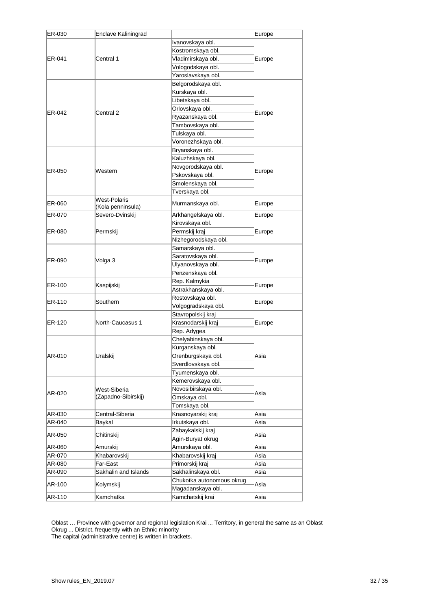| ER-030 | Enclave Kaliningrad               |                                        | Europe |  |
|--------|-----------------------------------|----------------------------------------|--------|--|
| ER-041 |                                   | Ivanovskaya obl.                       |        |  |
|        |                                   | Kostromskaya obl.                      |        |  |
|        | Central 1                         | Vladimirskaya obl.                     | Europe |  |
|        |                                   | Vologodskaya obl.                      |        |  |
|        |                                   | Yaroslavskaya obl.                     |        |  |
|        |                                   | Belgorodskaya obl.                     |        |  |
|        |                                   | Kurskaya obl.                          |        |  |
|        |                                   | Libetskaya obl.                        |        |  |
|        |                                   | Orlovskaya obl.                        |        |  |
| ER-042 | Central 2                         | Ryazanskaya obl.                       | Europe |  |
|        |                                   | Tambovskaya obl.                       |        |  |
|        |                                   | Tulskaya obl.                          |        |  |
|        |                                   | Voronezhskaya obl.                     |        |  |
|        |                                   | Bryanskaya obl.                        |        |  |
|        |                                   | Kaluzhskaya obl.                       |        |  |
| ER-050 | Western                           | Novgorodskaya obl.                     | Europe |  |
|        |                                   | Pskovskaya obl.                        |        |  |
|        |                                   | Smolenskaya obl.                       |        |  |
|        |                                   | Tverskaya obl.                         |        |  |
| ER-060 | West-Polaris<br>(Kola penninsula) | Murmanskaya obl.                       | Europe |  |
| ER-070 | Severo-Dvinskij                   | Arkhangelskaya obl.                    | Europe |  |
|        |                                   | Kirovskaya obl.                        |        |  |
| ER-080 | Permskij                          | Permskij kraj                          | Europe |  |
|        |                                   | Nizhegorodskaya obl.                   |        |  |
|        | Volga 3                           | Samarskaya obl.                        |        |  |
| ER-090 |                                   | Saratovskaya obl.                      | Europe |  |
|        |                                   | Ulyanovskaya obl.                      |        |  |
|        |                                   | Penzenskaya obl.                       |        |  |
| ER-100 | Kaspijskij                        | Rep. Kalmykia                          | Europe |  |
|        |                                   | Astrakhanskaya obl.                    |        |  |
| ER-110 | Southern                          | Rostovskaya obl.                       | Europe |  |
|        |                                   | Volgogradskaya obl.                    |        |  |
|        |                                   | Stavropolskij kraj                     |        |  |
| ER-120 | North-Caucasus 1                  | Krasnodarskij kraj                     | Europe |  |
|        |                                   | Rep. Adygea                            |        |  |
|        |                                   | Chelyabinskaya obl.                    |        |  |
|        |                                   | Kurganskaya obl.                       |        |  |
| AR-010 | Uralskij                          | Orenburgskaya obl.                     | Asia   |  |
|        |                                   | Sverdlovskaya obl.                     |        |  |
|        |                                   | Tyumenskaya obl.                       |        |  |
|        |                                   | Kemerovskaya obl.                      |        |  |
| AR-020 | West-Siberia                      | Novosibirskaya obl.                    | Asia   |  |
|        | (Zapadno-Sibirskij)               | Omskaya obl.                           |        |  |
|        |                                   | Tomskaya obl.                          |        |  |
| AR-030 | Central-Siberia                   | Krasnoyarskij kraj                     | Asia   |  |
| AR-040 | Baykal                            | Irkutskaya obl.                        | Asia   |  |
| AR-050 | Chitinskij                        | Zabaykalskij kraj<br>Agin-Buryat okrug | Asia   |  |
| AR-060 | Amurskij                          | Amurskaya obl.                         | Asia   |  |
| AR-070 | Khabarovskij                      | Khabarovskij kraj                      | Asia   |  |
| AR-080 | Far-East                          | Primorskij kraj                        | Asia   |  |
| AR-090 | Sakhalin and Islands              | Sakhalinskaya obl.                     | Asia   |  |
| AR-100 | Kolymskij                         | Chukotka autonomous okrug              | Asia   |  |
|        |                                   | Magadanskaya obl.                      |        |  |
| AR-110 | Kamchatka                         | Kamchatskij krai                       | Asia   |  |

Oblast … Province with governor and regional legislation Krai ... Territory, in general the same as an Oblast Okrug ... District, frequently with an Ethnic minority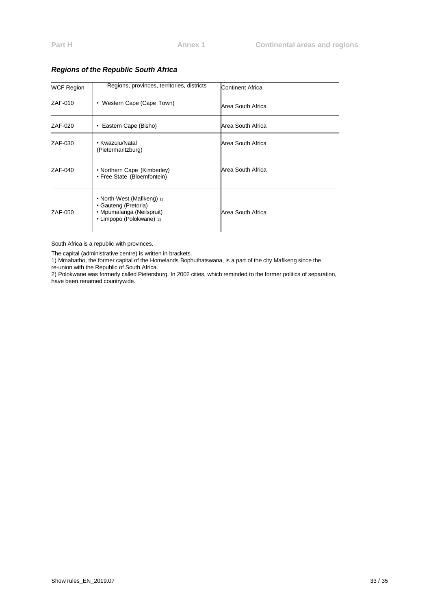| <b>WCF Region</b> | Regions, provinces, territories, districts                                                                  | Continent Africa  |
|-------------------|-------------------------------------------------------------------------------------------------------------|-------------------|
| ZAF-010           | • Western Cape (Cape Town)                                                                                  | Area South Africa |
| ZAF-020           | • Eastern Cape (Bisho)                                                                                      | Area South Africa |
| ZAF-030           | • Kwazulu/Natal<br>(Pietermaritzburg)                                                                       | Area South Africa |
| ZAF-040           | • Northern Cape (Kimberley)<br>• Free State (Bloemfontein)                                                  | Area South Africa |
| ZAF-050           | • North-West (Mafikeng) 1)<br>• Gauteng (Pretoria)<br>• Mpumalanga (Neilspruit)<br>• Limpopo (Polokwane) 2) | Area South Africa |

### *Regions of the Republic South Africa*

South Africa is a republic with provinces.

The capital (administrative centre) is written in brackets.

1) Mmabatho, the former capital of the Homelands Bophuthatswana, is a part of the city Mafikeng since the

re-union with the Republic of South Africa.

2) Polokwane was formerly called Pietersburg. In 2002 cities, which reminded to the former politics of separation, have been renamed countrywide.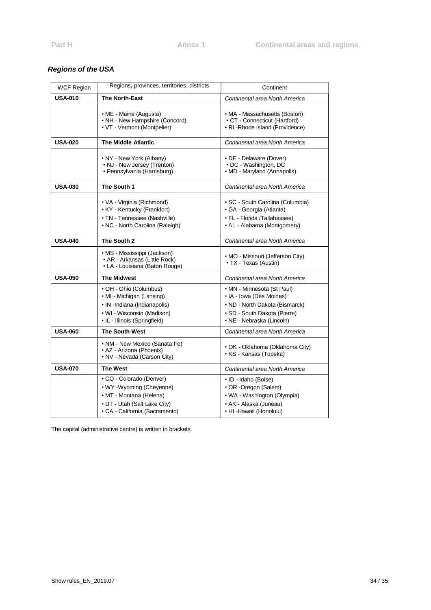# *Regions of the USA*

| WCF Region     | Regions, provinces, territories, districts                                                                                                         | Continent                                                                                                                                             |
|----------------|----------------------------------------------------------------------------------------------------------------------------------------------------|-------------------------------------------------------------------------------------------------------------------------------------------------------|
| <b>USA-010</b> | <b>The North-East</b>                                                                                                                              | Continental area North America                                                                                                                        |
|                | • ME - Maine (Augusta)<br>• NH - New Hampshire (Concord)<br>• VT - Vermont (Montpelier)                                                            | • MA - Massachusetts (Boston)<br>• CT - Connecticut (Hartford)<br>• RI-Rhode Island (Providence)                                                      |
| <b>USA-020</b> | <b>The Middle Atlantic</b>                                                                                                                         | Continental area North America                                                                                                                        |
|                | • NY - New York (Albany)<br>• NJ - New Jersey (Trenton)<br>• Pennsylvania (Harrisburg)                                                             | • DE - Delaware (Dover)<br>• DC - Washington, DC<br>• MD - Maryland (Annapolis)                                                                       |
| <b>USA-030</b> | The South 1                                                                                                                                        | Continental area North America                                                                                                                        |
|                | • VA - Virginia (Richmond)<br>• KY - Kentucky (Frankfort)<br>• TN - Tennessee (Nashville)<br>• NC - North Carolina (Raleigh)                       | · SC - South Carolina (Columbia)<br>· GA - Georgia (Atlanta)<br>• FL - Florida /Tallahassee)<br>• AL - Alabama (Montgomery)                           |
| <b>USA-040</b> | The South 2                                                                                                                                        | Continental area North America                                                                                                                        |
|                | • MS - Mississippi (Jackson)<br>• AR - Arkansas (Little Rock)<br>• LA - Louisiana (Baton Rouge)                                                    | • MO - Missouri (Jefferson City)<br>• TX - Texas (Austin)                                                                                             |
| <b>USA-050</b> | <b>The Midwest</b>                                                                                                                                 | Continental area North America                                                                                                                        |
|                | • OH - Ohio (Columbus)<br>• MI - Michigan (Lansing)<br>• IN -Indiana (Indianapolis)<br>• WI - Wisconsin (Madison)<br>• IL - Illinois (Springfield) | • MN - Minnesota (St Paul)<br>• IA - Iowa (Des Moines)<br>• ND - North Dakota (Bismarck)<br>• SD - South Dakota (Pierre)<br>• NE - Nebraska (Lincoln) |
| <b>USA-060</b> | <b>The South-West</b>                                                                                                                              | Continental area North America                                                                                                                        |
|                | • NM - New Mexico (Sanata Fe)<br>• AZ - Arizona (Phoenix)<br>• NV - Nevada (Carson City)                                                           | • OK - Oklahoma (Oklahoma City)<br>• KS - Kansas (Topeka)                                                                                             |
| <b>USA-070</b> | <b>The West</b>                                                                                                                                    | Continental area North America                                                                                                                        |
|                | • CO - Colorado (Denver)<br>• WY -Wyoming (Cheyenne)<br>• MT - Montana (Helena)<br>• UT - Utah (Salt Lake City)<br>· CA - California (Sacramento)  | • ID - Idaho (Boise)<br>• OR -Oregon (Salem)<br>• WA - Washington (Olympia)<br>• AK - Alaska (Juneau)<br>• HI -Hawaii (Honolulu)                      |